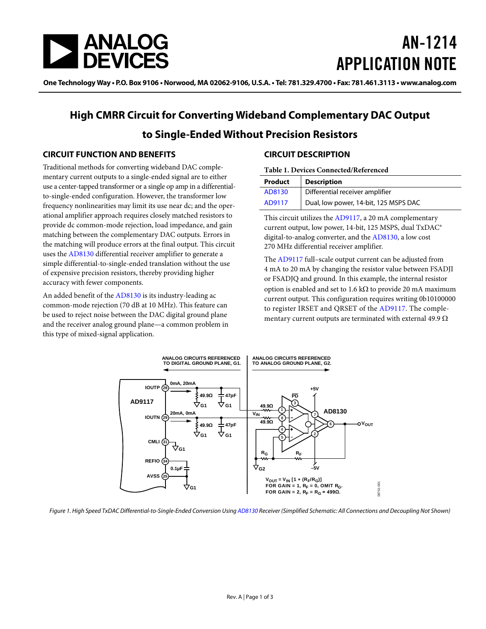

# AN-1214 APPLICATION NOTE

One Technology Way • P.O. Box 9106 • Norwood, MA 02062-9106, U.S.A. • Tel: 781.329.4700 • Fax: 781.461.3113 • www.analog.com

## **High CMRR Circuit for Converting Wideband Complementary DAC Output to Single-Ended Without Precision Resistors**

## **CIRCUIT FUNCTION AND BENEFITS**

Traditional methods for converting wideband DAC complementary current outputs to a single-ended signal are to either use a center-tapped transformer or a single op amp in a differentialto-single-ended configuration. However, the transformer low frequency nonlinearities may limit its use near dc; and the operational amplifier approach requires closely matched resistors to provide dc common-mode rejection, load impedance, and gain matching between the complementary DAC outputs. Errors in the matching will produce errors at the final output. This circuit uses th[e AD8130](http://www.analog.com/AD8130?doc=AN-1214.pdf) differential receiver amplifier to generate a simple differential-to-single-ended translation without the use of expensive precision resistors, thereby providing higher accuracy with fewer components.

An added benefit of the [AD8130](http://www.analog.com/AD8130?doc=AN-1214.pdf) is its industry-leading ac common-mode rejection (70 dB at 10 MHz). This feature can be used to reject noise between the DAC digital ground plane and the receiver analog ground plane—a common problem in this type of mixed-signal application.

## **CIRCUIT DESCRIPTION**

### **Table 1. Devices Connected/Referenced**

| Product | <b>Description</b>                    |
|---------|---------------------------------------|
| AD8130  | Differential receiver amplifier       |
| AD9117  | Dual, low power, 14-bit, 125 MSPS DAC |

This circuit utilizes the [AD9117,](http://www.analog.com/AD9117?doc=AN-1214.pdf) a 20 mA complementary current output, low power, 14-bit, 125 MSPS, dual TxDAC® digital-to-analog converter, and the [AD8130,](http://www.analog.com/AD8130?doc=AN-1214.pdf) a low cost 270 MHz differential receiver amplifier.

The [AD9117](http://www.analog.com/AD9117?doc=AN-1214.pdf) full–scale output current can be adjusted from 4 mA to 20 mA by changing the resistor value between FSADJI or FSADJQ and ground. In this example, the internal resistor option is enabled and set to 1.6 kΩ to provide 20 mA maximum current output. This configuration requires writing 0b10100000 to register IRSET and QRSET of the [AD9117.](http://www.analog.com/AD9117?doc=AN-1214.pdf) The complementary current outputs are terminated with external 49.9  $\Omega$ 



<span id="page-0-0"></span>Figure 1. High Speed TxDAC Differential-to-Single-Ended Conversion Usin[g AD8130](http://www.analog.com/AD8130?doc=AN-1214.pdf) Receiver (Simplified Schematic: All Connections and Decoupling Not Shown)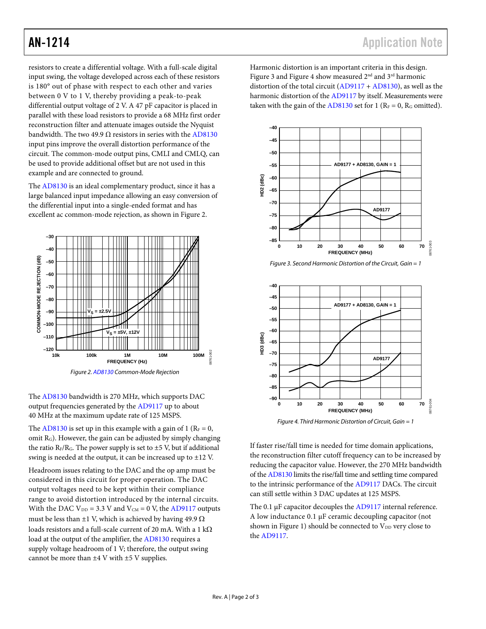resistors to create a differential voltage. With a full-scale digital input swing, the voltage developed across each of these resistors is 180° out of phase with respect to each other and varies between 0 V to 1 V, thereby providing a peak-to-peak differential output voltage of 2 V. A 47 pF capacitor is placed in parallel with these load resistors to provide a 68 MHz first order reconstruction filter and attenuate images outside the Nyquist bandwidth. The two 49.9  $\Omega$  resistors in series with th[e AD8130](http://www.analog.com/AD8130?doc=AN-1214.pdf) input pins improve the overall distortion performance of the circuit. The common-mode output pins, CMLI and CMLQ, can be used to provide additional offset but are not used in this example and are connected to ground.

The [AD8130](http://www.analog.com/AD8130?doc=AN-1214.pdf) is an ideal complementary product, since it has a large balanced input impedance allowing an easy conversion of the differential input into a single-ended format and has excellent ac common-mode rejection, as shown i[n Figure 2.](#page-1-0) 



*Figure 2[. AD8130](http://www.analog.com/AD8130?doc=AN-1214.pdf) Common-Mode Rejection* 

<span id="page-1-0"></span>The [AD8130](http://www.analog.com/AD8130?doc=AN-1214.pdf) bandwidth is 270 MHz, which supports DAC output frequencies generated by th[e AD9117](http://www.analog.com/AD9117?doc=AN-1214.pdf) up to about 40 MHz at the maximum update rate of 125 MSPS.

The [AD8130](http://www.analog.com/AD8130?doc=AN-1214.pdf) is set up in this example with a gain of 1 ( $R_F = 0$ , omit RG). However, the gain can be adjusted by simply changing the ratio  $R_F/R_G$ . The power supply is set to  $\pm$ 5 V, but if additional swing is needed at the output, it can be increased up to ±12 V.

Headroom issues relating to the DAC and the op amp must be considered in this circuit for proper operation. The DAC output voltages need to be kept within their compliance range to avoid distortion introduced by the internal circuits. With the DAC  $V_{DD} = 3.3$  V and  $V_{CM} = 0$  V, the [AD9117](http://www.analog.com/AD9117?doc=AN-1214.pdf) outputs must be less than  $\pm 1$  V, which is achieved by having 49.9  $\Omega$ loads resistors and a full-scale current of 20 mA. With a 1 kΩ load at the output of the amplifier, th[e AD8130](http://www.analog.com/AD8130?doc=AN-1214.pdf) requires a supply voltage headroom of 1 V; therefore, the output swing cannot be more than  $\pm 4$  V with  $\pm 5$  V supplies.

Harmonic distortion is an important criteria in this design. [Figure 3](#page-1-1) an[d Figure 4](#page-1-2) show measured  $2<sup>nd</sup>$  and  $3<sup>rd</sup>$  harmonic distortion of the total circuit [\(AD9117](http://www.analog.com/AD9117?doc=AN-1214.pdf) + [AD8130\)](http://www.analog.com/AD8130?doc=AN-1214.pdf), as well as the harmonic distortion of th[e AD9117](http://www.analog.com/AD9117?doc=AN-1214.pdf) by itself. Measurements were taken with the gain of th[e AD8130](http://www.analog.com/AD8130?doc=AN-1214.pdf) set for 1 ( $R_F = 0$ ,  $R_G$  omitted).



<span id="page-1-1"></span>*Figure 3. Second Harmonic Distortion of the Circuit, Gain = 1*



*Figure 4. Third Harmonic Distortion of Circuit, Gain = 1*

<span id="page-1-2"></span>If faster rise/fall time is needed for time domain applications, the reconstruction filter cutoff frequency can to be increased by reducing the capacitor value. However, the 270 MHz bandwidth of th[e AD8130](http://www.analog.com/AD8130?doc=AN-1214.pdf) limits the rise/fall time and settling time compared to the intrinsic performance of the [AD9117](http://www.analog.com/AD9117?doc=AN-1214.pdf) DACs. The circuit can still settle within 3 DAC updates at 125 MSPS.

The 0.1 µF capacitor decouples th[e AD9117](http://www.analog.com/AD9117?doc=AN-1214.pdf) internal reference. A low inductance 0.1 µF ceramic decoupling capacitor (not shown in [Figure 1\)](#page-0-0) should be connected to  $V_{DD}$  very close to the [AD9117.](http://www.analog.com/AD9117?doc=AN-1214.pdf)